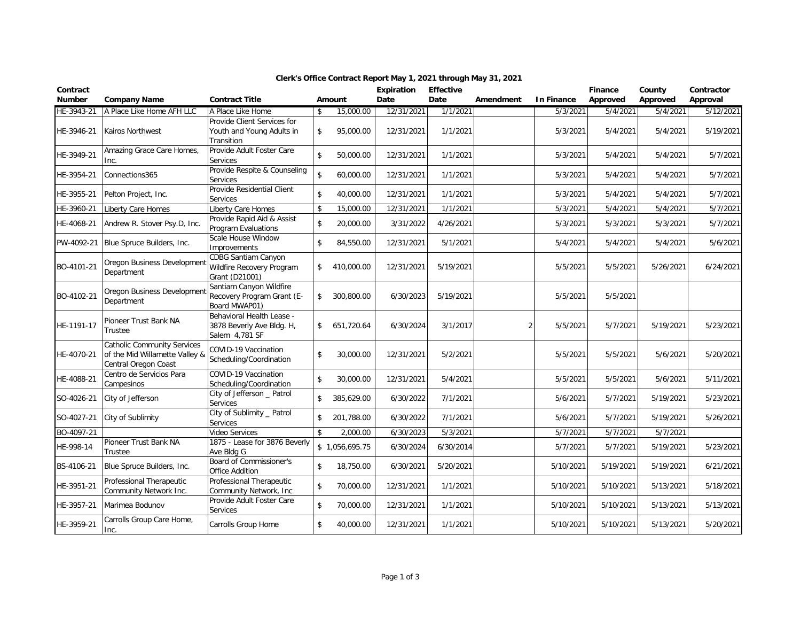| Contract<br><b>Number</b> | <b>Company Name</b>                                                                          | <b>Contract Title</b>                                                     |                    | Amount         | <b>Expiration</b><br>Date | <b>Effective</b><br>Date | Amendment | In Finance | Finance<br>Approved | County<br>Approved | Contractor<br>Approval |
|---------------------------|----------------------------------------------------------------------------------------------|---------------------------------------------------------------------------|--------------------|----------------|---------------------------|--------------------------|-----------|------------|---------------------|--------------------|------------------------|
| HE-3943-21                | A Place Like Home AFH LLC                                                                    | A Place Like Home                                                         | \$                 | 15,000.00      | 12/31/2021                | 1/1/2021                 |           | 5/3/2021   | 5/4/2021            | 5/4/2021           | 5/12/2021              |
| HE-3946-21                | Kairos Northwest                                                                             | Provide Client Services for<br>Youth and Young Adults in<br>Transition    | \$                 | 95,000.00      | 12/31/2021                | 1/1/2021                 |           | 5/3/2021   | 5/4/2021            | 5/4/2021           | 5/19/2021              |
| HE-3949-21                | Amazing Grace Care Homes,<br>Inc.                                                            | Provide Adult Foster Care<br><b>Services</b>                              | $\mathbf{\hat{S}}$ | 50,000.00      | 12/31/2021                | 1/1/2021                 |           | 5/3/2021   | 5/4/2021            | 5/4/2021           | 5/7/2021               |
| HE-3954-21                | Connections365                                                                               | Provide Respite & Counseling<br>Services                                  | $\mathbf{\hat{S}}$ | 60,000.00      | 12/31/2021                | 1/1/2021                 |           | 5/3/2021   | 5/4/2021            | 5/4/2021           | 5/7/2021               |
| HE-3955-21                | Pelton Project, Inc.                                                                         | Provide Residential Client<br>Services                                    | \$                 | 40,000.00      | 12/31/2021                | 1/1/2021                 |           | 5/3/2021   | 5/4/2021            | 5/4/2021           | 5/7/2021               |
| HE-3960-21                | Liberty Care Homes                                                                           | Liberty Care Homes                                                        | \$                 | 15,000.00      | 12/31/2021                | 1/1/2021                 |           | 5/3/2021   | 5/4/2021            | 5/4/2021           | 5/7/2021               |
| HE-4068-21                | Andrew R. Stover Psy.D, Inc.                                                                 | Provide Rapid Aid & Assist<br>Program Evaluations                         | $\mathfrak{S}$     | 20,000.00      | 3/31/2022                 | 4/26/2021                |           | 5/3/2021   | 5/3/2021            | 5/3/2021           | 5/7/2021               |
| PW-4092-21                | Blue Spruce Builders, Inc.                                                                   | Scale House Window<br>Improvements                                        | \$                 | 84,550.00      | 12/31/2021                | 5/1/2021                 |           | 5/4/2021   | 5/4/2021            | 5/4/2021           | 5/6/2021               |
| BO-4101-21                | Oregon Business Developmen<br>Department                                                     | <b>CDBG Santiam Canyon</b><br>Wildfire Recovery Program<br>Grant (D21001) | \$                 | 410,000.00     | 12/31/2021                | 5/19/2021                |           | 5/5/2021   | 5/5/2021            | 5/26/2021          | 6/24/2021              |
| BO-4102-21                | Oregon Business Developmen<br>Department                                                     | Santiam Canyon Wildfire<br>Recovery Program Grant (E-<br>Board MWAP01)    | $\mathsf{\$}$      | 300,800.00     | 6/30/2023                 | 5/19/2021                |           | 5/5/2021   | 5/5/2021            |                    |                        |
| HE-1191-17                | Pioneer Trust Bank NA<br>Trustee                                                             | Behavioral Health Lease -<br>3878 Beverly Ave Bldg. H,<br>Salem 4,781 SF  | \$                 | 651,720.64     | 6/30/2024                 | 3/1/2017                 | 2         | 5/5/2021   | 5/7/2021            | 5/19/2021          | 5/23/2021              |
| HE-4070-21                | <b>Catholic Community Services</b><br>of the Mid Willamette Valley &<br>Central Oregon Coast | COVID-19 Vaccination<br>Scheduling/Coordination                           | $\mathfrak{S}$     | 30,000.00      | 12/31/2021                | 5/2/2021                 |           | 5/5/2021   | 5/5/2021            | 5/6/2021           | 5/20/2021              |
| HE-4088-21                | Centro de Servicios Para<br>Campesinos                                                       | COVID-19 Vaccination<br>Scheduling/Coordination                           | \$                 | 30,000.00      | 12/31/2021                | 5/4/2021                 |           | 5/5/2021   | 5/5/2021            | 5/6/2021           | 5/11/2021              |
| SO-4026-21                | City of Jefferson                                                                            | City of Jefferson _ Patrol<br>Services                                    | \$                 | 385,629.00     | 6/30/2022                 | 7/1/2021                 |           | 5/6/2021   | 5/7/2021            | 5/19/2021          | 5/23/2021              |
| SO-4027-21                | City of Sublimity                                                                            | City of Sublimity _ Patrol<br>Services                                    | $\mathbf{\hat{S}}$ | 201,788.00     | 6/30/2022                 | 7/1/2021                 |           | 5/6/2021   | 5/7/2021            | 5/19/2021          | 5/26/2021              |
| BO-4097-21                |                                                                                              | Video Services                                                            | \$                 | 2,000.00       | 6/30/2023                 | 5/3/2021                 |           | 5/7/2021   | 5/7/2021            | 5/7/2021           |                        |
| HE-998-14                 | Pioneer Trust Bank NA<br>Trustee                                                             | 1875 - Lease for 3876 Beverly<br>Ave Bldg G                               |                    | \$1,056,695.75 | 6/30/2024                 | 6/30/2014                |           | 5/7/2021   | 5/7/2021            | 5/19/2021          | 5/23/2021              |
| BS-4106-21                | Blue Spruce Builders, Inc.                                                                   | Board of Commissioner's<br><b>Office Addition</b>                         | \$                 | 18,750.00      | 6/30/2021                 | 5/20/2021                |           | 5/10/2021  | 5/19/2021           | 5/19/2021          | 6/21/2021              |
| HE-3951-21                | Professional Therapeutic<br>Community Network Inc.                                           | Professional Therapeutic<br>Community Network, Inc.                       | \$                 | 70,000.00      | 12/31/2021                | 1/1/2021                 |           | 5/10/2021  | 5/10/2021           | 5/13/2021          | 5/18/2021              |
| HE-3957-21                | Marimea Bodunov                                                                              | Provide Adult Foster Care<br>Services                                     | $\mathfrak{S}$     | 70,000.00      | 12/31/2021                | 1/1/2021                 |           | 5/10/2021  | 5/10/2021           | 5/13/2021          | 5/13/2021              |
| HE-3959-21                | Carrolls Group Care Home,<br>Inc.                                                            | Carrolls Group Home                                                       | \$                 | 40,000.00      | 12/31/2021                | 1/1/2021                 |           | 5/10/2021  | 5/10/2021           | 5/13/2021          | 5/20/2021              |

## **Clerk's Office Contract Report May 1, 2021 through May 31, 2021**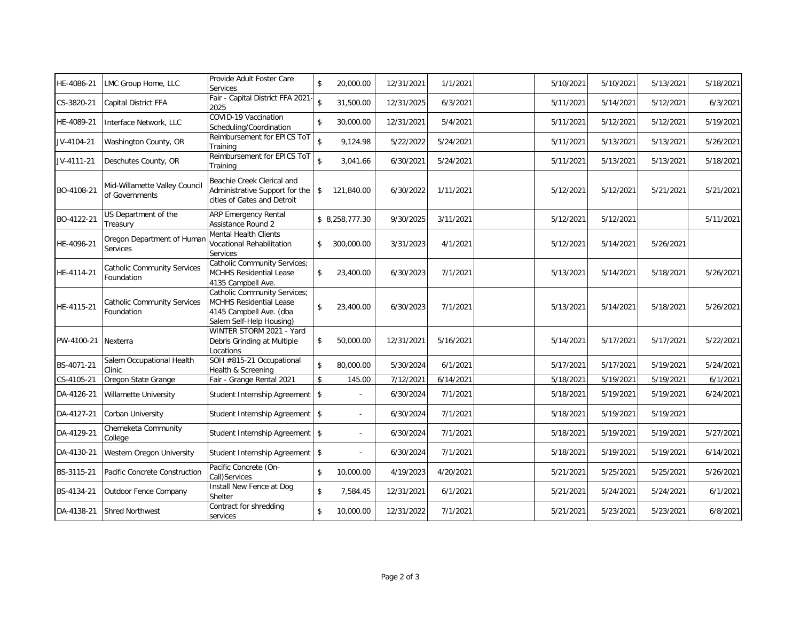| HE-4086-21 | LMC Group Home, LLC                              | Provide Adult Foster Care<br>Services                                                                          | \$                 | 20,000.00                | 12/31/2021 | 1/1/2021  | 5/10/2021 | 5/10/2021 | 5/13/2021 | 5/18/2021 |
|------------|--------------------------------------------------|----------------------------------------------------------------------------------------------------------------|--------------------|--------------------------|------------|-----------|-----------|-----------|-----------|-----------|
| CS-3820-21 | Capital District FFA                             | Fair - Capital District FFA 2021-<br>2025                                                                      | \$                 | 31,500.00                | 12/31/2025 | 6/3/2021  | 5/11/2021 | 5/14/2021 | 5/12/2021 | 6/3/2021  |
| HE-4089-21 | Interface Network, LLC                           | COVID-19 Vaccination<br>Scheduling/Coordination                                                                | \$                 | 30,000.00                | 12/31/2021 | 5/4/2021  | 5/11/2021 | 5/12/2021 | 5/12/2021 | 5/19/2021 |
| JV-4104-21 | Washington County, OR                            | Reimbursement for EPICS ToT<br>Training                                                                        | $\hat{\mathbf{s}}$ | 9,124.98                 | 5/22/2022  | 5/24/2021 | 5/11/2021 | 5/13/2021 | 5/13/2021 | 5/26/2021 |
| JV-4111-21 | Deschutes County, OR                             | Reimbursement for EPICS ToT<br>Training                                                                        | $\mathbf{\hat{S}}$ | 3,041.66                 | 6/30/2021  | 5/24/2021 | 5/11/2021 | 5/13/2021 | 5/13/2021 | 5/18/2021 |
| BO-4108-21 | Mid-Willamette Valley Council<br>of Governments  | Beachie Creek Clerical and<br>Administrative Support for the<br>cities of Gates and Detroit                    | \$                 | 121,840.00               | 6/30/2022  | 1/11/2021 | 5/12/2021 | 5/12/2021 | 5/21/2021 | 5/21/2021 |
| BO-4122-21 | US Department of the<br>Treasury                 | ARP Emergency Rental<br>Assistance Round 2                                                                     |                    | \$ 8,258,777.30          | 9/30/2025  | 3/11/2021 | 5/12/2021 | 5/12/2021 |           | 5/11/2021 |
| HE-4096-21 | Oregon Department of Human<br>Services           | <b>Mental Health Clients</b><br>Vocational Rehabilitation<br>Services                                          | \$                 | 300,000.00               | 3/31/2023  | 4/1/2021  | 5/12/2021 | 5/14/2021 | 5/26/2021 |           |
| HE-4114-21 | <b>Catholic Community Services</b><br>Foundation | Catholic Community Services;<br>MCHHS Residential Lease<br>4135 Campbell Ave.                                  | \$                 | 23,400.00                | 6/30/2023  | 7/1/2021  | 5/13/2021 | 5/14/2021 | 5/18/2021 | 5/26/2021 |
| HE-4115-21 | <b>Catholic Community Services</b><br>Foundation | Catholic Community Services;<br>MCHHS Residential Lease<br>4145 Campbell Ave. (dba<br>Salem Self-Help Housing) | \$                 | 23,400.00                | 6/30/2023  | 7/1/2021  | 5/13/2021 | 5/14/2021 | 5/18/2021 | 5/26/2021 |
| PW-4100-21 | Nexterra                                         | WINTER STORM 2021 - Yard<br>Debris Grinding at Multiple<br>Locations                                           | \$                 | 50,000.00                | 12/31/2021 | 5/16/2021 | 5/14/2021 | 5/17/2021 | 5/17/2021 | 5/22/2021 |
| BS-4071-21 | Salem Occupational Health<br>Clinic              | SOH #815-21 Occupational<br>Health & Screening                                                                 | \$                 | 80,000.00                | 5/30/2024  | 6/1/2021  | 5/17/2021 | 5/17/2021 | 5/19/2021 | 5/24/2021 |
| CS-4105-21 | Oregon State Grange                              | Fair - Grange Rental 2021                                                                                      | \$                 | 145.00                   | 7/12/2021  | 6/14/2021 | 5/18/2021 | 5/19/2021 | 5/19/2021 | 6/1/2021  |
| DA-4126-21 | <b>Willamette University</b>                     | Student Internship Agreement                                                                                   | \$                 | $\sim$                   | 6/30/2024  | 7/1/2021  | 5/18/2021 | 5/19/2021 | 5/19/2021 | 6/24/2021 |
| DA-4127-21 | Corban University                                | Student Internship Agreement                                                                                   | \$                 | $\overline{\phantom{a}}$ | 6/30/2024  | 7/1/2021  | 5/18/2021 | 5/19/2021 | 5/19/2021 |           |
| DA-4129-21 | Chemeketa Community<br>College                   | Student Internship Agreement                                                                                   | $\mathsf{s}$       |                          | 6/30/2024  | 7/1/2021  | 5/18/2021 | 5/19/2021 | 5/19/2021 | 5/27/2021 |
| DA-4130-21 | Western Oregon University                        | Student Internship Agreement                                                                                   | \$                 |                          | 6/30/2024  | 7/1/2021  | 5/18/2021 | 5/19/2021 | 5/19/2021 | 6/14/2021 |
| BS-3115-21 | Pacific Concrete Construction                    | Pacific Concrete (On-<br>Call)Services                                                                         | \$                 | 10,000.00                | 4/19/2023  | 4/20/2021 | 5/21/2021 | 5/25/2021 | 5/25/2021 | 5/26/2021 |
| BS-4134-21 | Outdoor Fence Company                            | Install New Fence at Dog<br>Shelter                                                                            | \$                 | 7,584.45                 | 12/31/2021 | 6/1/2021  | 5/21/2021 | 5/24/2021 | 5/24/2021 | 6/1/2021  |
| DA-4138-21 | <b>Shred Northwest</b>                           | Contract for shredding<br>services                                                                             | \$                 | 10,000.00                | 12/31/2022 | 7/1/2021  | 5/21/2021 | 5/23/2021 | 5/23/2021 | 6/8/2021  |
|            |                                                  |                                                                                                                |                    |                          |            |           |           |           |           |           |